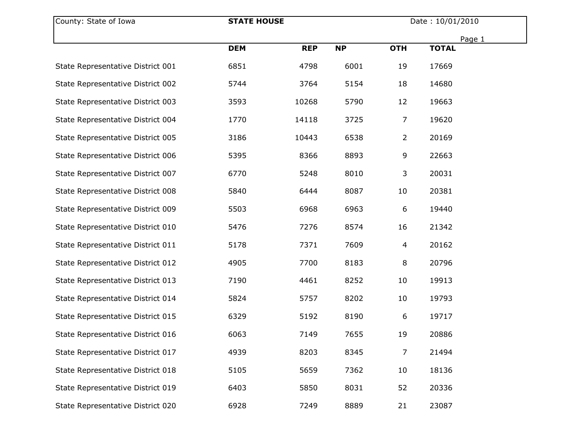| County: State of Iowa             | <b>STATE HOUSE</b> |            | Date: 10/01/2010 |                |              |  |
|-----------------------------------|--------------------|------------|------------------|----------------|--------------|--|
|                                   |                    |            |                  |                | Page 1       |  |
|                                   | <b>DEM</b>         | <b>REP</b> | <b>NP</b>        | <b>OTH</b>     | <b>TOTAL</b> |  |
| State Representative District 001 | 6851               | 4798       | 6001             | 19             | 17669        |  |
| State Representative District 002 | 5744               | 3764       | 5154             | 18             | 14680        |  |
| State Representative District 003 | 3593               | 10268      | 5790             | 12             | 19663        |  |
| State Representative District 004 | 1770               | 14118      | 3725             | 7              | 19620        |  |
| State Representative District 005 | 3186               | 10443      | 6538             | $\overline{2}$ | 20169        |  |
| State Representative District 006 | 5395               | 8366       | 8893             | 9              | 22663        |  |
| State Representative District 007 | 6770               | 5248       | 8010             | 3              | 20031        |  |
| State Representative District 008 | 5840               | 6444       | 8087             | 10             | 20381        |  |
| State Representative District 009 | 5503               | 6968       | 6963             | 6              | 19440        |  |
| State Representative District 010 | 5476               | 7276       | 8574             | 16             | 21342        |  |
| State Representative District 011 | 5178               | 7371       | 7609             | 4              | 20162        |  |
| State Representative District 012 | 4905               | 7700       | 8183             | 8              | 20796        |  |
| State Representative District 013 | 7190               | 4461       | 8252             | 10             | 19913        |  |
| State Representative District 014 | 5824               | 5757       | 8202             | 10             | 19793        |  |
| State Representative District 015 | 6329               | 5192       | 8190             | 6              | 19717        |  |
| State Representative District 016 | 6063               | 7149       | 7655             | 19             | 20886        |  |
| State Representative District 017 | 4939               | 8203       | 8345             | $\overline{7}$ | 21494        |  |
| State Representative District 018 | 5105               | 5659       | 7362             | 10             | 18136        |  |
| State Representative District 019 | 6403               | 5850       | 8031             | 52             | 20336        |  |
| State Representative District 020 | 6928               | 7249       | 8889             | 21             | 23087        |  |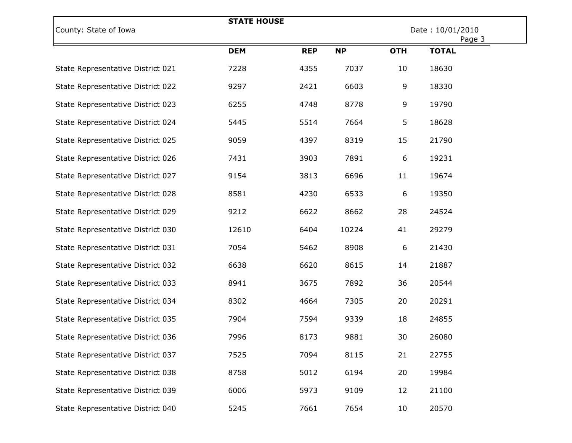| County: State of Iowa             | <b>STATE HOUSE</b> |            |           | Date: 10/01/2010<br>Page 3 |              |  |
|-----------------------------------|--------------------|------------|-----------|----------------------------|--------------|--|
|                                   | <b>DEM</b>         | <b>REP</b> | <b>NP</b> | <b>OTH</b>                 | <b>TOTAL</b> |  |
| State Representative District 021 | 7228               | 4355       | 7037      | 10                         | 18630        |  |
| State Representative District 022 | 9297               | 2421       | 6603      | 9                          | 18330        |  |
| State Representative District 023 | 6255               | 4748       | 8778      | 9                          | 19790        |  |
| State Representative District 024 | 5445               | 5514       | 7664      | 5                          | 18628        |  |
| State Representative District 025 | 9059               | 4397       | 8319      | 15                         | 21790        |  |
| State Representative District 026 | 7431               | 3903       | 7891      | 6                          | 19231        |  |
| State Representative District 027 | 9154               | 3813       | 6696      | 11                         | 19674        |  |
| State Representative District 028 | 8581               | 4230       | 6533      | 6                          | 19350        |  |
| State Representative District 029 | 9212               | 6622       | 8662      | 28                         | 24524        |  |
| State Representative District 030 | 12610              | 6404       | 10224     | 41                         | 29279        |  |
| State Representative District 031 | 7054               | 5462       | 8908      | 6                          | 21430        |  |
| State Representative District 032 | 6638               | 6620       | 8615      | 14                         | 21887        |  |
| State Representative District 033 | 8941               | 3675       | 7892      | 36                         | 20544        |  |
| State Representative District 034 | 8302               | 4664       | 7305      | 20                         | 20291        |  |
| State Representative District 035 | 7904               | 7594       | 9339      | 18                         | 24855        |  |
| State Representative District 036 | 7996               | 8173       | 9881      | 30                         | 26080        |  |
| State Representative District 037 | 7525               | 7094       | 8115      | 21                         | 22755        |  |
| State Representative District 038 | 8758               | 5012       | 6194      | 20                         | 19984        |  |
| State Representative District 039 | 6006               | 5973       | 9109      | 12                         | 21100        |  |
| State Representative District 040 | 5245               | 7661       | 7654      | 10                         | 20570        |  |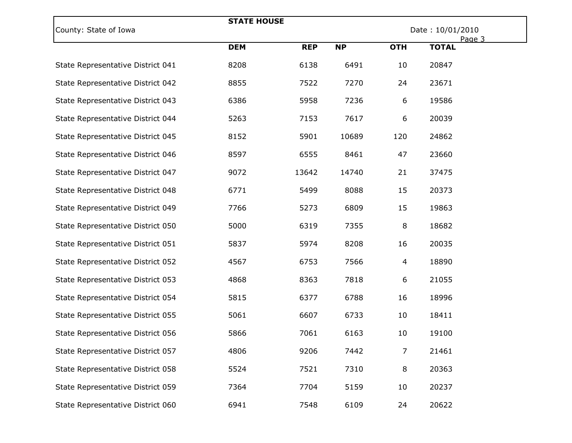| County: State of Iowa             | <b>STATE HOUSE</b> |            |           | Date: 10/01/2010 |                        |  |
|-----------------------------------|--------------------|------------|-----------|------------------|------------------------|--|
|                                   | <b>DEM</b>         | <b>REP</b> | <b>NP</b> | <b>OTH</b>       | Page 3<br><b>TOTAL</b> |  |
| State Representative District 041 | 8208               | 6138       | 6491      | 10               | 20847                  |  |
| State Representative District 042 | 8855               | 7522       | 7270      | 24               | 23671                  |  |
| State Representative District 043 | 6386               | 5958       | 7236      | 6                | 19586                  |  |
| State Representative District 044 | 5263               | 7153       | 7617      | 6                | 20039                  |  |
| State Representative District 045 | 8152               | 5901       | 10689     | 120              | 24862                  |  |
| State Representative District 046 | 8597               | 6555       | 8461      | 47               | 23660                  |  |
| State Representative District 047 | 9072               | 13642      | 14740     | 21               | 37475                  |  |
| State Representative District 048 | 6771               | 5499       | 8088      | 15               | 20373                  |  |
| State Representative District 049 | 7766               | 5273       | 6809      | 15               | 19863                  |  |
| State Representative District 050 | 5000               | 6319       | 7355      | 8                | 18682                  |  |
| State Representative District 051 | 5837               | 5974       | 8208      | 16               | 20035                  |  |
| State Representative District 052 | 4567               | 6753       | 7566      | 4                | 18890                  |  |
| State Representative District 053 | 4868               | 8363       | 7818      | 6                | 21055                  |  |
| State Representative District 054 | 5815               | 6377       | 6788      | 16               | 18996                  |  |
| State Representative District 055 | 5061               | 6607       | 6733      | 10               | 18411                  |  |
| State Representative District 056 | 5866               | 7061       | 6163      | 10               | 19100                  |  |
| State Representative District 057 | 4806               | 9206       | 7442      | $\overline{7}$   | 21461                  |  |
| State Representative District 058 | 5524               | 7521       | 7310      | 8                | 20363                  |  |
| State Representative District 059 | 7364               | 7704       | 5159      | 10               | 20237                  |  |
| State Representative District 060 | 6941               | 7548       | 6109      | 24               | 20622                  |  |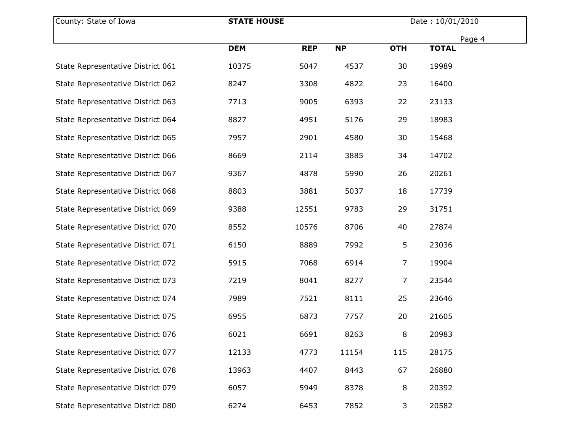| County: State of Iowa             | <b>STATE HOUSE</b> |            |           | Date: 10/01/2010 |              |  |
|-----------------------------------|--------------------|------------|-----------|------------------|--------------|--|
|                                   |                    |            |           |                  | Page 4       |  |
|                                   | <b>DEM</b>         | <b>REP</b> | <b>NP</b> | <b>OTH</b>       | <b>TOTAL</b> |  |
| State Representative District 061 | 10375              | 5047       | 4537      | 30               | 19989        |  |
| State Representative District 062 | 8247               | 3308       | 4822      | 23               | 16400        |  |
| State Representative District 063 | 7713               | 9005       | 6393      | 22               | 23133        |  |
| State Representative District 064 | 8827               | 4951       | 5176      | 29               | 18983        |  |
| State Representative District 065 | 7957               | 2901       | 4580      | 30               | 15468        |  |
| State Representative District 066 | 8669               | 2114       | 3885      | 34               | 14702        |  |
| State Representative District 067 | 9367               | 4878       | 5990      | 26               | 20261        |  |
| State Representative District 068 | 8803               | 3881       | 5037      | 18               | 17739        |  |
| State Representative District 069 | 9388               | 12551      | 9783      | 29               | 31751        |  |
| State Representative District 070 | 8552               | 10576      | 8706      | 40               | 27874        |  |
| State Representative District 071 | 6150               | 8889       | 7992      | 5                | 23036        |  |
| State Representative District 072 | 5915               | 7068       | 6914      | $\overline{7}$   | 19904        |  |
| State Representative District 073 | 7219               | 8041       | 8277      | $\overline{7}$   | 23544        |  |
| State Representative District 074 | 7989               | 7521       | 8111      | 25               | 23646        |  |
| State Representative District 075 | 6955               | 6873       | 7757      | 20               | 21605        |  |
| State Representative District 076 | 6021               | 6691       | 8263      | 8                | 20983        |  |
| State Representative District 077 | 12133              | 4773       | 11154     | 115              | 28175        |  |
| State Representative District 078 | 13963              | 4407       | 8443      | 67               | 26880        |  |
| State Representative District 079 | 6057               | 5949       | 8378      | 8                | 20392        |  |
| State Representative District 080 | 6274               | 6453       | 7852      | 3                | 20582        |  |